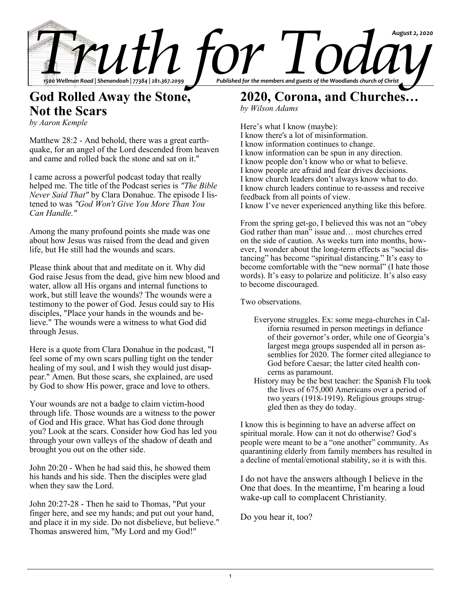

## **God Rolled Away the Stone, Not the Scars**

*by Aaron Kemple*

Matthew 28:2 - And behold, there was a great earthquake, for an angel of the Lord descended from heaven and came and rolled back the stone and sat on it."

I came across a powerful podcast today that really helped me. The title of the Podcast series is *"The Bible Never Said That"* by Clara Donahue. The episode I listened to was *"God Won't Give You More Than You Can Handle."*

Among the many profound points she made was one about how Jesus was raised from the dead and given life, but He still had the wounds and scars.

Please think about that and meditate on it. Why did God raise Jesus from the dead, give him new blood and water, allow all His organs and internal functions to work, but still leave the wounds? The wounds were a testimony to the power of God. Jesus could say to His disciples, "Place your hands in the wounds and believe." The wounds were a witness to what God did through Jesus.

Here is a quote from Clara Donahue in the podcast, "I feel some of my own scars pulling tight on the tender healing of my soul, and I wish they would just disappear." Amen. But those scars, she explained, are used by God to show His power, grace and love to others.

Your wounds are not a badge to claim victim-hood through life. Those wounds are a witness to the power of God and His grace. What has God done through you? Look at the scars. Consider how God has led you through your own valleys of the shadow of death and brought you out on the other side.

John 20:20 - When he had said this, he showed them his hands and his side. Then the disciples were glad when they saw the Lord.

John 20:27-28 - Then he said to Thomas, "Put your finger here, and see my hands; and put out your hand, and place it in my side. Do not disbelieve, but believe." Thomas answered him, "My Lord and my God!"

# **2020, Corona, and Churches…**

*by Wilson Adams*

Here's what I know (maybe): I know there's a lot of misinformation. I know information continues to change. I know information can be spun in any direction. I know people don't know who or what to believe. I know people are afraid and fear drives decisions. I know church leaders don't always know what to do. I know church leaders continue to re-assess and receive feedback from all points of view. I know I've never experienced anything like this before.

From the spring get-go, I believed this was not an "obey God rather than man" issue and… most churches erred on the side of caution. As weeks turn into months, however, I wonder about the long-term effects as "social distancing" has become "spiritual distancing." It's easy to become comfortable with the "new normal" (I hate those words). It's easy to polarize and politicize. It's also easy to become discouraged.

Two observations.

- Everyone struggles. Ex: some mega-churches in California resumed in person meetings in defiance of their governor's order, while one of Georgia's largest mega groups suspended all in person assemblies for 2020. The former cited allegiance to God before Caesar; the latter cited health concerns as paramount.
- History may be the best teacher: the Spanish Flu took the lives of 675,000 Americans over a period of two years (1918-1919). Religious groups struggled then as they do today.

I know this is beginning to have an adverse affect on spiritual morale. How can it not do otherwise? God's people were meant to be a "one another" community. As quarantining elderly from family members has resulted in a decline of mental/emotional stability, so it is with this.

I do not have the answers although I believe in the One that does. In the meantime, I'm hearing a loud wake-up call to complacent Christianity.

Do you hear it, too?